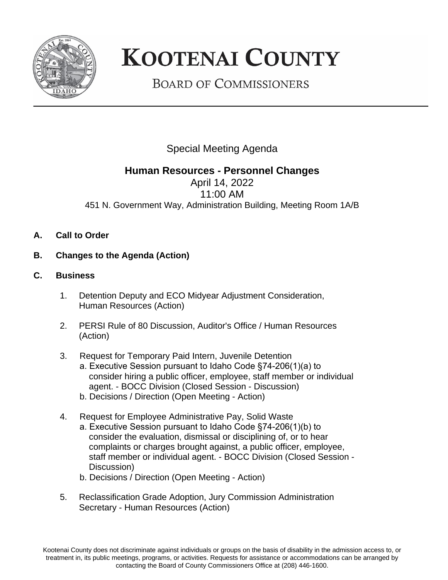

## **KOOTENAI COUNTY**

**BOARD OF COMMISSIONERS** 

Special Meeting Agenda

## **Human Resources - Personnel Changes**

April 14, 2022 11:00 AM 451 N. Government Way, Administration Building, Meeting Room 1A/B

- **A. Call to Order**
- **B. Changes to the Agenda (Action)**
- **C. Business**
	- 1. Detention Deputy and ECO Midyear Adjustment Consideration, Human Resources (Action)
	- 2. PERSI Rule of 80 Discussion, Auditor's Office / Human Resources (Action)
	- 3. Request for Temporary Paid Intern, Juvenile Detention
		- a. Executive Session pursuant to Idaho Code §74-206(1)(a) to consider hiring a public officer, employee, staff member or individual agent. - BOCC Division (Closed Session - Discussion)
		- b. Decisions / Direction (Open Meeting Action)
	- 4. Request for Employee Administrative Pay, Solid Waste a. Executive Session pursuant to Idaho Code §74-206(1)(b) to consider the evaluation, dismissal or disciplining of, or to hear complaints or charges brought against, a public officer, employee, staff member or individual agent. - BOCC Division (Closed Session - Discussion)
		- b. Decisions / Direction (Open Meeting Action)
	- 5. Reclassification Grade Adoption, Jury Commission Administration Secretary - Human Resources (Action)